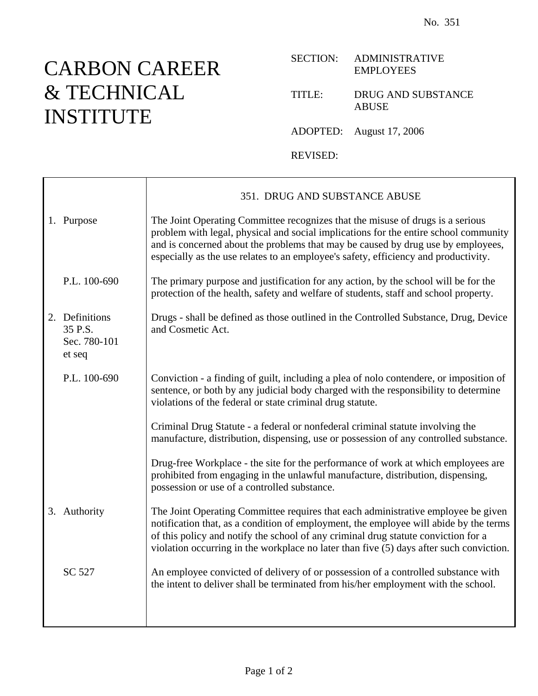## CARBON CAREER & TECHNICAL INSTITUTE

Τ

 $\Gamma$ 

## SECTION: ADMINISTRATIVE EMPLOYEES

## TITLE: DRUG AND SUBSTANCE ABUSE

ADOPTED: August 17, 2006

REVISED:

|                                                     | 351. DRUG AND SUBSTANCE ABUSE                                                                                                                                                                                                                                                                                                                               |
|-----------------------------------------------------|-------------------------------------------------------------------------------------------------------------------------------------------------------------------------------------------------------------------------------------------------------------------------------------------------------------------------------------------------------------|
| 1. Purpose                                          | The Joint Operating Committee recognizes that the misuse of drugs is a serious<br>problem with legal, physical and social implications for the entire school community<br>and is concerned about the problems that may be caused by drug use by employees,<br>especially as the use relates to an employee's safety, efficiency and productivity.           |
| P.L. 100-690                                        | The primary purpose and justification for any action, by the school will be for the<br>protection of the health, safety and welfare of students, staff and school property.                                                                                                                                                                                 |
| 2. Definitions<br>35 P.S.<br>Sec. 780-101<br>et seq | Drugs - shall be defined as those outlined in the Controlled Substance, Drug, Device<br>and Cosmetic Act.                                                                                                                                                                                                                                                   |
| P.L. 100-690                                        | Conviction - a finding of guilt, including a plea of nolo contendere, or imposition of<br>sentence, or both by any judicial body charged with the responsibility to determine<br>violations of the federal or state criminal drug statute.                                                                                                                  |
|                                                     | Criminal Drug Statute - a federal or nonfederal criminal statute involving the<br>manufacture, distribution, dispensing, use or possession of any controlled substance.                                                                                                                                                                                     |
|                                                     | Drug-free Workplace - the site for the performance of work at which employees are<br>prohibited from engaging in the unlawful manufacture, distribution, dispensing,<br>possession or use of a controlled substance.                                                                                                                                        |
| 3. Authority                                        | The Joint Operating Committee requires that each administrative employee be given<br>notification that, as a condition of employment, the employee will abide by the terms<br>of this policy and notify the school of any criminal drug statute conviction for a<br>violation occurring in the workplace no later than five (5) days after such conviction. |
| SC 527                                              | An employee convicted of delivery of or possession of a controlled substance with<br>the intent to deliver shall be terminated from his/her employment with the school.                                                                                                                                                                                     |
|                                                     |                                                                                                                                                                                                                                                                                                                                                             |